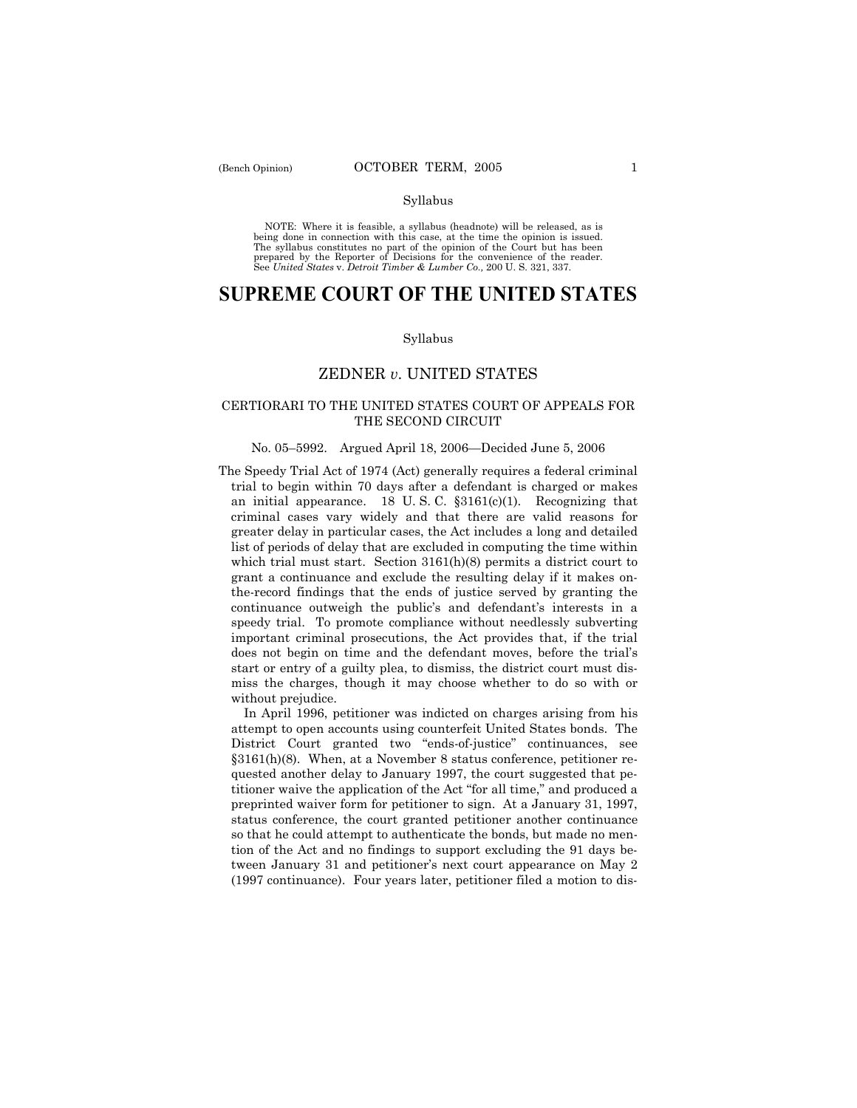NOTE: Where it is feasible, a syllabus (headnote) will be released, as is being done in connection with this case, at the time the opinion is issued. The syllabus constitutes no part of the opinion of the Court but has been<br>prepared by the Reporter of Decisions for the convenience of the reader.<br>See United States v. Detroit Timber & Lumber Co., 200 U. S. 321, 337.

# **SUPREME COURT OF THE UNITED STATES**

#### Syllabus

## ZEDNER *v*. UNITED STATES

## CERTIORARI TO THE UNITED STATES COURT OF APPEALS FOR THE SECOND CIRCUIT

## No. 05–5992. Argued April 18, 2006—Decided June 5, 2006

The Speedy Trial Act of 1974 (Act) generally requires a federal criminal trial to begin within 70 days after a defendant is charged or makes an initial appearance. 18 U.S.C.  $\S 3161(c)(1)$ . Recognizing that criminal cases vary widely and that there are valid reasons for greater delay in particular cases, the Act includes a long and detailed list of periods of delay that are excluded in computing the time within which trial must start. Section 3161(h)(8) permits a district court to grant a continuance and exclude the resulting delay if it makes onthe-record findings that the ends of justice served by granting the continuance outweigh the public's and defendant's interests in a speedy trial. To promote compliance without needlessly subverting important criminal prosecutions, the Act provides that, if the trial does not begin on time and the defendant moves, before the trial's start or entry of a guilty plea, to dismiss, the district court must dismiss the charges, though it may choose whether to do so with or without prejudice.

 In April 1996, petitioner was indicted on charges arising from his attempt to open accounts using counterfeit United States bonds. The District Court granted two "ends-of-justice" continuances, see ß3161(h)(8). When, at a November 8 status conference, petitioner requested another delay to January 1997, the court suggested that petitioner waive the application of the Act "for all time," and produced a preprinted waiver form for petitioner to sign. At a January 31, 1997, status conference, the court granted petitioner another continuance so that he could attempt to authenticate the bonds, but made no mention of the Act and no findings to support excluding the 91 days between January 31 and petitioner's next court appearance on May 2 (1997 continuance). Four years later, petitioner filed a motion to dis-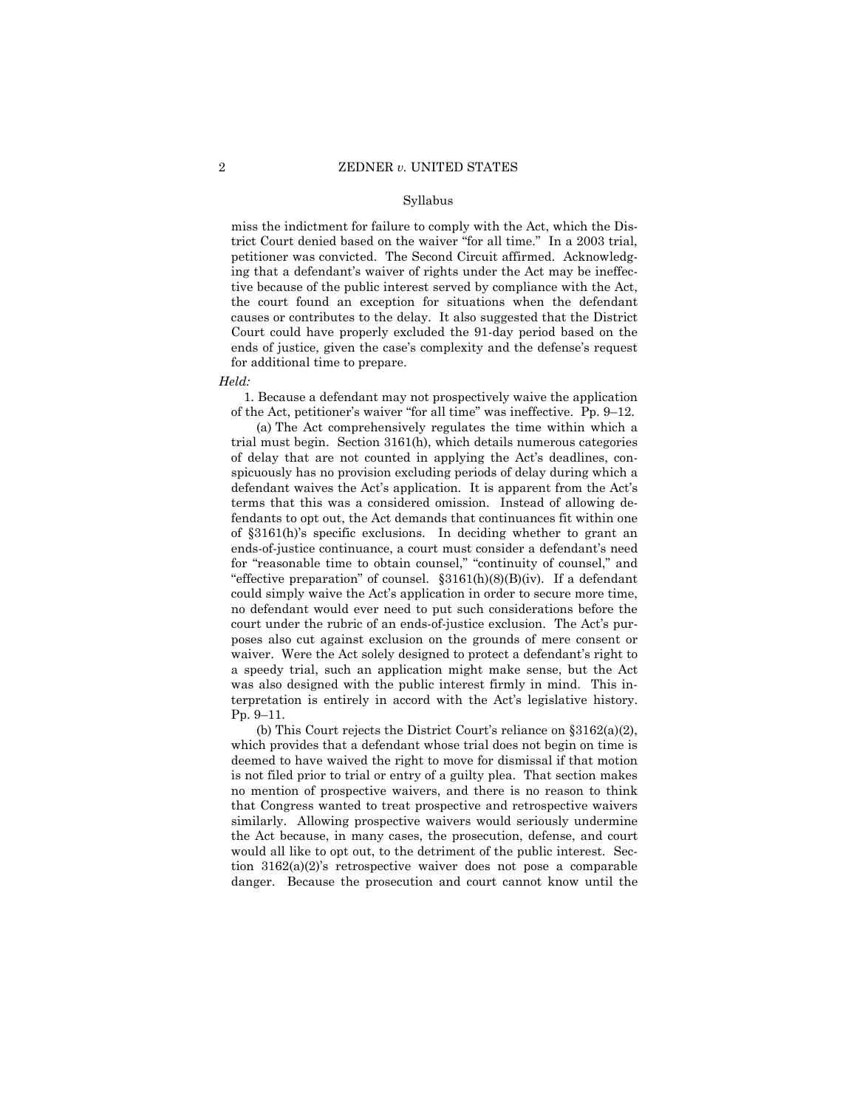miss the indictment for failure to comply with the Act, which the District Court denied based on the waiver "for all time." In a 2003 trial, petitioner was convicted. The Second Circuit affirmed. Acknowledging that a defendant's waiver of rights under the Act may be ineffective because of the public interest served by compliance with the Act, the court found an exception for situations when the defendant causes or contributes to the delay. It also suggested that the District Court could have properly excluded the 91-day period based on the ends of justice, given the case's complexity and the defense's request for additional time to prepare.

*Held:* 

 1. Because a defendant may not prospectively waive the application of the Act, petitioner's waiver "for all time" was ineffective. Pp.  $9-12$ .

 (a) The Act comprehensively regulates the time within which a trial must begin. Section 3161(h), which details numerous categories of delay that are not counted in applying the Act's deadlines, conspicuously has no provision excluding periods of delay during which a defendant waives the Act's application. It is apparent from the Act's terms that this was a considered omission. Instead of allowing defendants to opt out, the Act demands that continuances fit within one of ß3161(h)ís specific exclusions. In deciding whether to grant an ends-of-justice continuance, a court must consider a defendant's need for "reasonable time to obtain counsel," "continuity of counsel," and "effective preparation" of counsel.  $\S 3161(h)(8)(B)(iv)$ . If a defendant could simply waive the Act's application in order to secure more time, no defendant would ever need to put such considerations before the court under the rubric of an ends-of-justice exclusion. The Act's purposes also cut against exclusion on the grounds of mere consent or waiver. Were the Act solely designed to protect a defendant's right to a speedy trial, such an application might make sense, but the Act was also designed with the public interest firmly in mind. This interpretation is entirely in accord with the Act's legislative history. Pp. 9-11.

(b) This Court rejects the District Court's reliance on  $\S 3162(a)(2)$ , which provides that a defendant whose trial does not begin on time is deemed to have waived the right to move for dismissal if that motion is not filed prior to trial or entry of a guilty plea. That section makes no mention of prospective waivers, and there is no reason to think that Congress wanted to treat prospective and retrospective waivers similarly. Allowing prospective waivers would seriously undermine the Act because, in many cases, the prosecution, defense, and court would all like to opt out, to the detriment of the public interest. Section  $3162(a)(2)$ 's retrospective waiver does not pose a comparable danger. Because the prosecution and court cannot know until the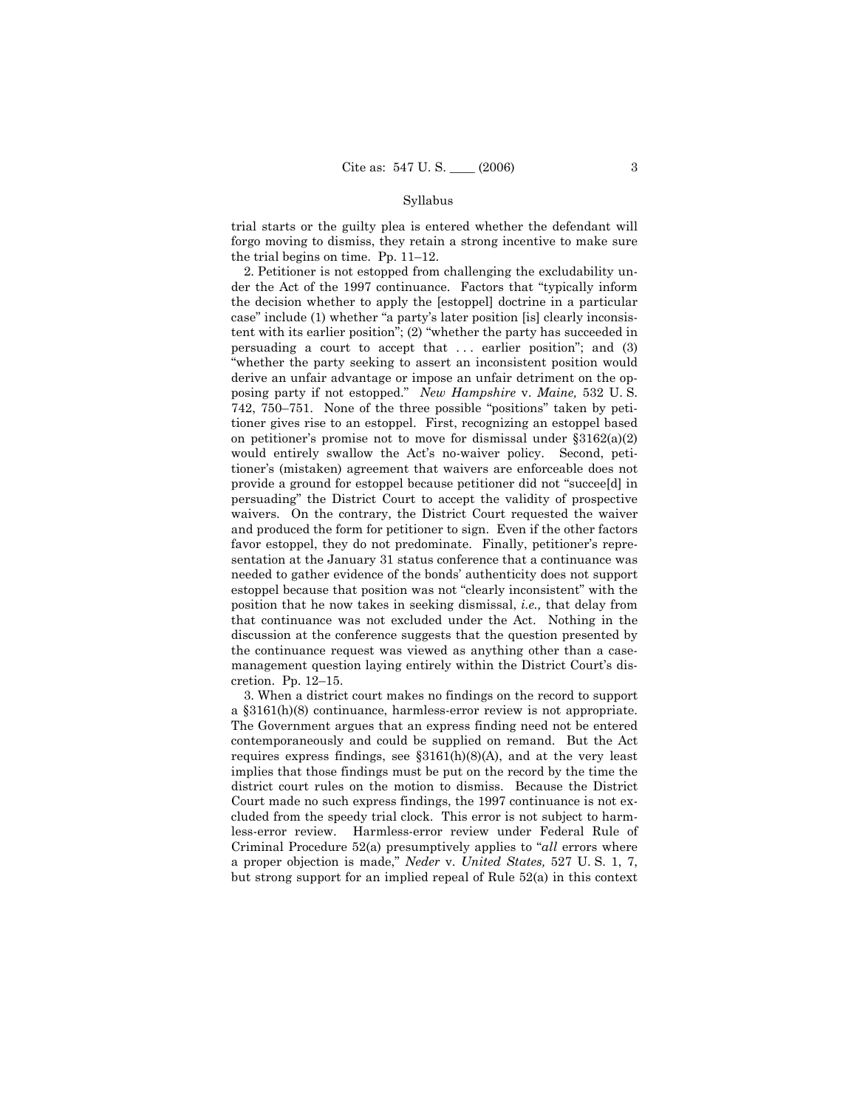trial starts or the guilty plea is entered whether the defendant will forgo moving to dismiss, they retain a strong incentive to make sure the trial begins on time. Pp.  $11-12$ .

 2. Petitioner is not estopped from challenging the excludability under the Act of the 1997 continuance. Factors that "typically inform" the decision whether to apply the [estoppel] doctrine in a particular case" include (1) whether "a party's later position [is] clearly inconsistent with its earlier position";  $(2)$  "whether the party has succeeded in persuading a court to accept that . . . earlier positionî; and (3) "whether the party seeking to assert an inconsistent position would derive an unfair advantage or impose an unfair detriment on the opposing party if not estopped.î *New Hampshire* v. *Maine,* 532 U. S. 742, 750–751. None of the three possible "positions" taken by petitioner gives rise to an estoppel. First, recognizing an estoppel based on petitioner's promise not to move for dismissal under  $\S 3162(a)(2)$ would entirely swallow the Act's no-waiver policy. Second, petitioner's (mistaken) agreement that waivers are enforceable does not provide a ground for estoppel because petitioner did not "succee[d] in persuadingî the District Court to accept the validity of prospective waivers. On the contrary, the District Court requested the waiver and produced the form for petitioner to sign. Even if the other factors favor estoppel, they do not predominate. Finally, petitioner's representation at the January 31 status conference that a continuance was needed to gather evidence of the bonds' authenticity does not support estoppel because that position was not "clearly inconsistent" with the position that he now takes in seeking dismissal, *i.e.,* that delay from that continuance was not excluded under the Act. Nothing in the discussion at the conference suggests that the question presented by the continuance request was viewed as anything other than a casemanagement question laying entirely within the District Court's discretion. Pp.  $12-15$ .

 3. When a district court makes no findings on the record to support a ß3161(h)(8) continuance, harmless-error review is not appropriate. The Government argues that an express finding need not be entered contemporaneously and could be supplied on remand. But the Act requires express findings, see  $$3161(h)(8)(A)$ , and at the very least implies that those findings must be put on the record by the time the district court rules on the motion to dismiss. Because the District Court made no such express findings, the 1997 continuance is not excluded from the speedy trial clock. This error is not subject to harmless-error review. Harmless-error review under Federal Rule of Criminal Procedure 52(a) presumptively applies to *<sup><i>all*</sup> errors where</sup> a proper objection is made,î *Neder* v. *United States,* 527 U. S. 1, 7, but strong support for an implied repeal of Rule 52(a) in this context